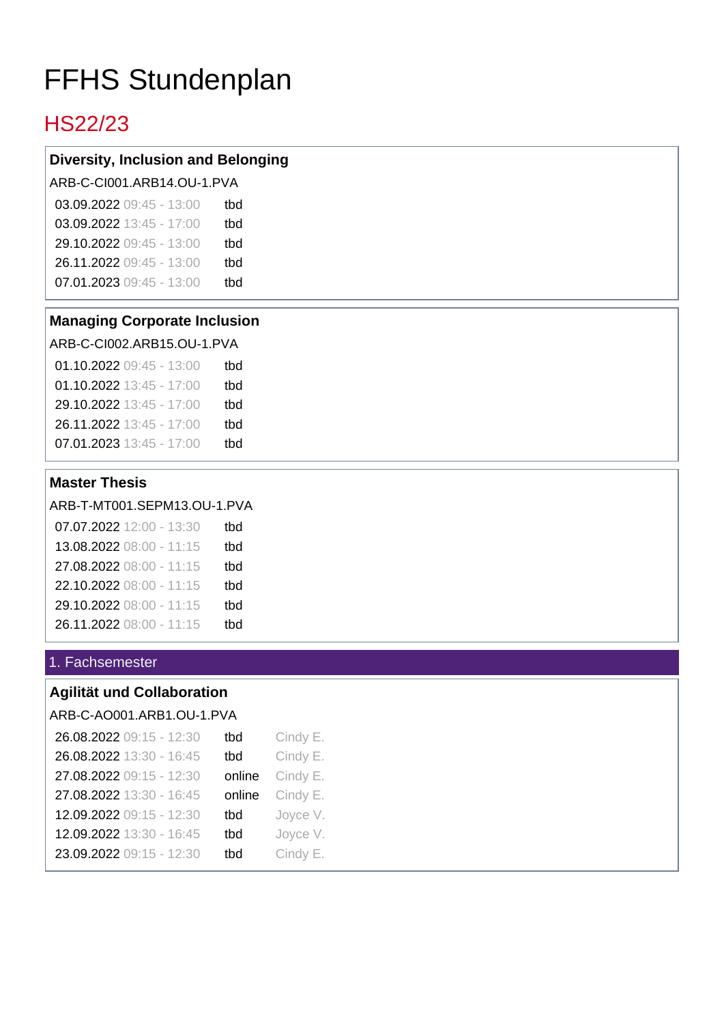# FFHS Stundenplan

# HS22/23

# **Diversity, Inclusion and Belonging**

ARB-C-CI001.ARB14.OU-1.PVA

| 03.09.2022 09:45 - 13:00 | thd |
|--------------------------|-----|
| 03.09.2022 13:45 - 17:00 | thd |
| 29.10.2022 09:45 - 13:00 | thd |
| 26.11.2022 09:45 - 13:00 | thd |
| 07.01.2023 09:45 - 13:00 | thd |
|                          |     |

#### **Managing Corporate Inclusion**

ARB-C-CI002.ARB15.OU-1.PVA

| 01.10.2022 09:45 - 13:00 | tbd |
|--------------------------|-----|
| 01.10.2022 13:45 - 17:00 | tbd |
| 29.10.2022 13:45 - 17:00 | thd |
| 26.11.2022 13:45 - 17:00 | thd |
| 07.01.2023 13:45 - 17:00 | thd |

# **Master Thesis**

ARB-T-MT001.SEPM13.OU-1.PVA

| 07.07.2022 12:00 - 13:30 | tbd |
|--------------------------|-----|
| 13.08.2022 08:00 - 11:15 | tbd |
| 27.08.2022 08:00 - 11:15 | tbd |
| 22.10.2022 08:00 - 11:15 | tbd |
| 29.10.2022 08:00 - 11:15 | tbd |
| 26.11.2022 08:00 - 11:15 | thd |

# 1. Fachsemester

# **Agilität und Collaboration**

ARB-C-AO001.ARB1.OU-1.PVA

| 26.08.2022 09:15 - 12:30 | tbd    | Cindy E. |
|--------------------------|--------|----------|
| 26.08.2022 13:30 - 16:45 | tbd    | Cindy E. |
| 27.08.2022 09:15 - 12:30 | online | Cindy E. |
| 27.08.2022 13:30 - 16:45 | online | Cindy E. |
| 12.09.2022 09:15 - 12:30 | tbd    | Joyce V. |
| 12.09.2022 13:30 - 16:45 | tbd    | Joyce V. |
| 23.09.2022 09:15 - 12:30 | tbd    | Cindy E. |
|                          |        |          |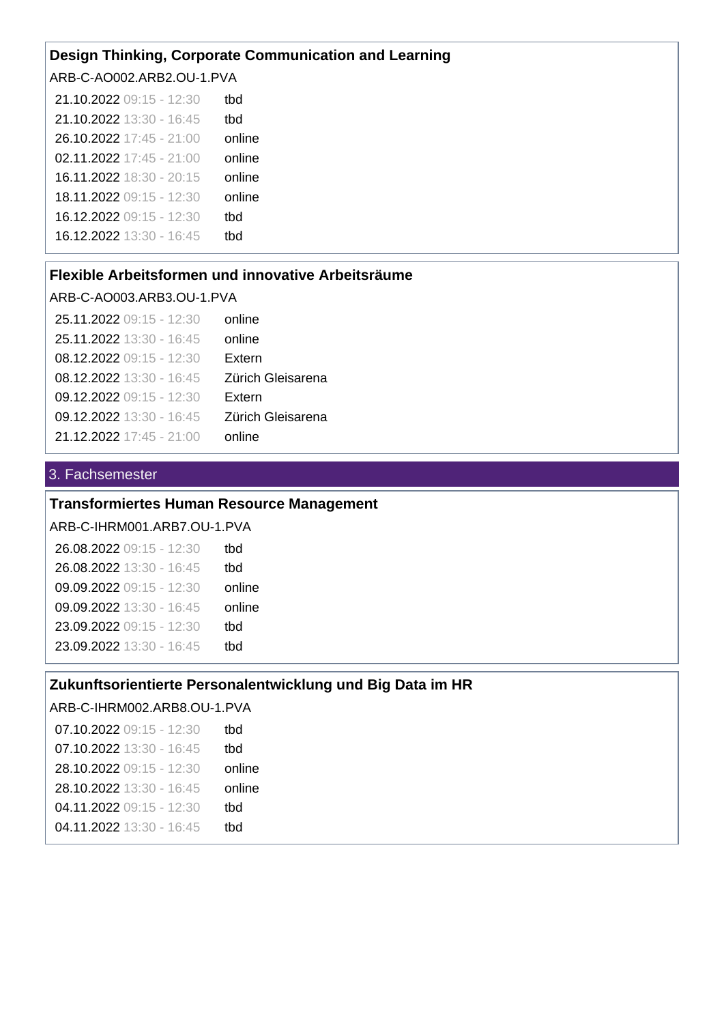#### **Design Thinking, Corporate Communication and Learning**

ARB-C-AO002.ARB2.OU-1.PVA

| 21.10.2022 09:15 - 12:30 | tbd    |
|--------------------------|--------|
| 21.10.2022 13:30 - 16:45 | tbd    |
| 26.10.2022 17:45 - 21:00 | online |
| 02.11.2022 17:45 - 21:00 | online |
| 16.11.2022 18:30 - 20:15 | online |
| 18.11.2022 09:15 - 12:30 | online |
| 16.12.2022 09:15 - 12:30 | tbd    |
| 16.12.2022 13:30 - 16:45 | tbd    |
|                          |        |

#### **Flexible Arbeitsformen und innovative Arbeitsräume**

#### ARB-C-AO003.ARB3.OU-1.PVA

| 25.11.2022 09:15 - 12:30 | online            |
|--------------------------|-------------------|
| 25.11.2022 13:30 - 16:45 | online            |
| 08.12.2022 09:15 - 12:30 | Extern            |
| 08.12.2022 13:30 - 16:45 | Zürich Gleisarena |
| 09.12.2022 09:15 - 12:30 | Extern            |
| 09.12.2022 13:30 - 16:45 | Zürich Gleisarena |
| 21.12.2022 17:45 - 21:00 | online            |

#### 3. Fachsemester

# **Transformiertes Human Resource Management**

ARB-C-IHRM001.ARB7.OU-1.PVA

| thd    |
|--------|
| thd    |
| online |
| online |
| tbd    |
| thd    |
|        |

#### **Zukunftsorientierte Personalentwicklung und Big Data im HR**

ARB-C-IHRM002.ARB8.OU-1.PVA

07.10.2022 09:15 - 12:30 07.10.2022 13:30 - 16:45 28.10.2022 09:15 - 12:30 28.10.2022 13:30 - 16:45 04.11.2022 09:15 - 12:30 04.11.2022 13:30 - 16:45 tbd tbd online online tbd tbd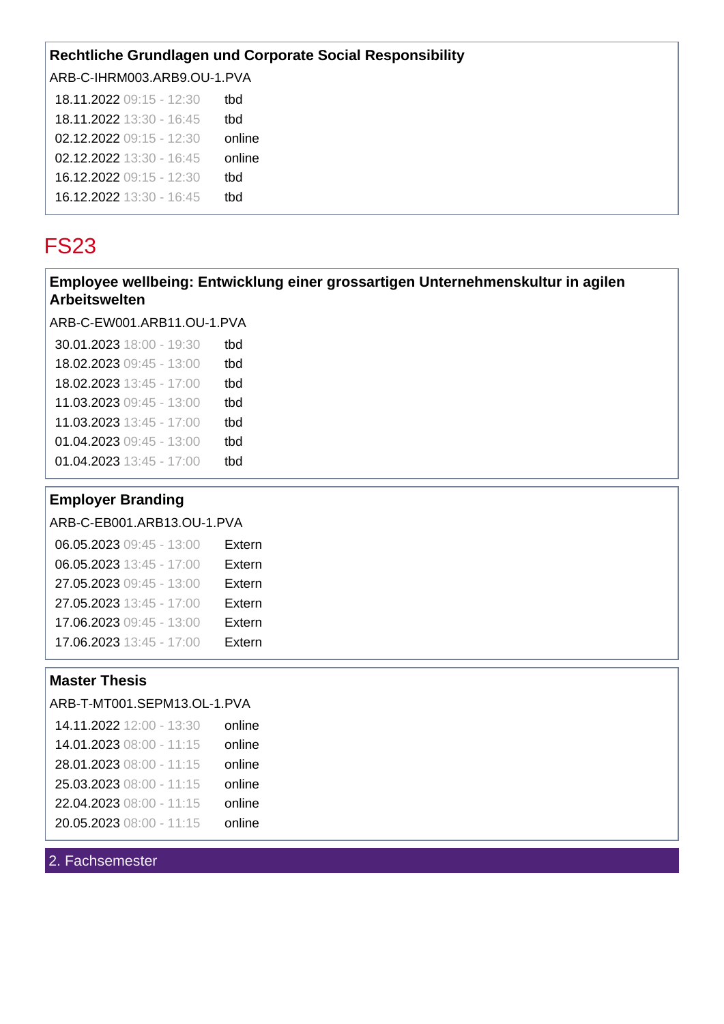# **Rechtliche Grundlagen und Corporate Social Responsibility**

ARB-C-IHRM003.ARB9.OU-1.PVA

| 18.11.2022 09:15 - 12:30 | tbd    |
|--------------------------|--------|
| 18.11.2022 13:30 - 16:45 | tbd    |
| 02.12.2022 09:15 - 12:30 | online |
| 02.12.2022 13:30 - 16:45 | online |
| 16.12.2022 09:15 - 12:30 | tbd    |
| 16.12.2022 13:30 - 16:45 | thd    |

# FS23

# **Employee wellbeing: Entwicklung einer grossartigen Unternehmenskultur in agilen Arbeitswelten**

ARB-C-EW001.ARB11.OU-1.PVA

| 30.01.2023 18:00 - 19:30<br>tbd |  |
|---------------------------------|--|
| 18.02.2023 09:45 - 13:00<br>tbd |  |
| 18.02.2023 13:45 - 17:00<br>tbd |  |
| 11.03.2023 09:45 - 13:00<br>tbd |  |
| 11.03.2023 13:45 - 17:00<br>tbd |  |
| 01.04.2023 09:45 - 13:00<br>tbd |  |
| 01.04.2023 13:45 - 17:00<br>tbd |  |
|                                 |  |

# **Employer Branding**

ARB-C-EB001.ARB13.OU-1.PVA

| 06.05.2023 09:45 - 13:00 | Extern |
|--------------------------|--------|
| 06.05.2023 13:45 - 17:00 | Extern |
| 27.05.2023 09:45 - 13:00 | Extern |
| 27.05.2023 13:45 - 17:00 | Extern |
| 17.06.2023 09:45 - 13:00 | Extern |
| 17.06.2023 13:45 - 17:00 | Extern |
|                          |        |

# **Master Thesis**

#### ARB-T-MT001.SEPM13.OL-1.PVA

| online | 14.11.2022 12:00 - 13:30 |
|--------|--------------------------|
| online | 14.01.2023 08:00 - 11:15 |
| online | 28.01.2023 08:00 - 11:15 |
| online | 25.03.2023 08:00 - 11:15 |
| online | 22.04.2023 08:00 - 11:15 |
| online | 20.05.2023 08:00 - 11:15 |

### 2. Fachsemester